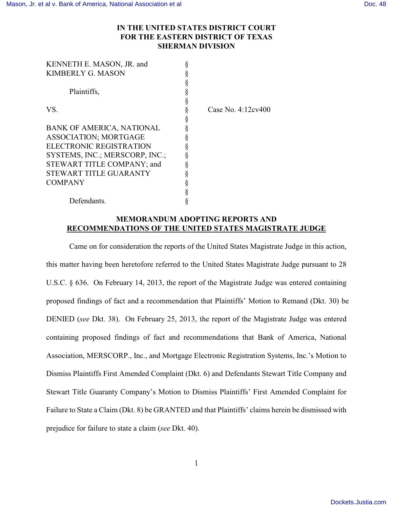## **IN THE UNITED STATES DISTRICT COURT FOR THE EASTERN DISTRICT OF TEXAS SHERMAN DIVISION**

| KENNETH E. MASON, JR. and        |   |
|----------------------------------|---|
| <b>KIMBERLY G. MASON</b>         |   |
|                                  | § |
| Plaintiffs,                      | § |
|                                  | § |
| VS.                              | § |
|                                  | § |
| <b>BANK OF AMERICA, NATIONAL</b> | § |
| <b>ASSOCIATION; MORTGAGE</b>     | § |
| ELECTRONIC REGISTRATION          | § |
| SYSTEMS, INC.; MERSCORP, INC.;   |   |
| STEWART TITLE COMPANY; and       | ş |
| STEWART TITLE GUARANTY           | § |
| COMPANY                          | § |
|                                  |   |
| Defendants.                      |   |

Case No. 4:12cv400

## **MEMORANDUM ADOPTING REPORTS AND RECOMMENDATIONS OF THE UNITED STATES MAGISTRATE JUDGE**

Came on for consideration the reports of the United States Magistrate Judge in this action, this matter having been heretofore referred to the United States Magistrate Judge pursuant to 28 U.S.C. § 636. On February 14, 2013, the report of the Magistrate Judge was entered containing proposed findings of fact and a recommendation that Plaintiffs' Motion to Remand (Dkt. 30) be DENIED (*see* Dkt. 38). On February 25, 2013, the report of the Magistrate Judge was entered containing proposed findings of fact and recommendations that Bank of America, National Association, MERSCORP., Inc., and Mortgage Electronic Registration Systems, Inc.'s Motion to Dismiss Plaintiffs First Amended Complaint (Dkt. 6) and Defendants Stewart Title Company and Stewart Title Guaranty Company's Motion to Dismiss Plaintiffs' First Amended Complaint for Failure to State a Claim (Dkt. 8) be GRANTED and that Plaintiffs' claims herein be dismissed with prejudice for failure to state a claim (*see* Dkt. 40).